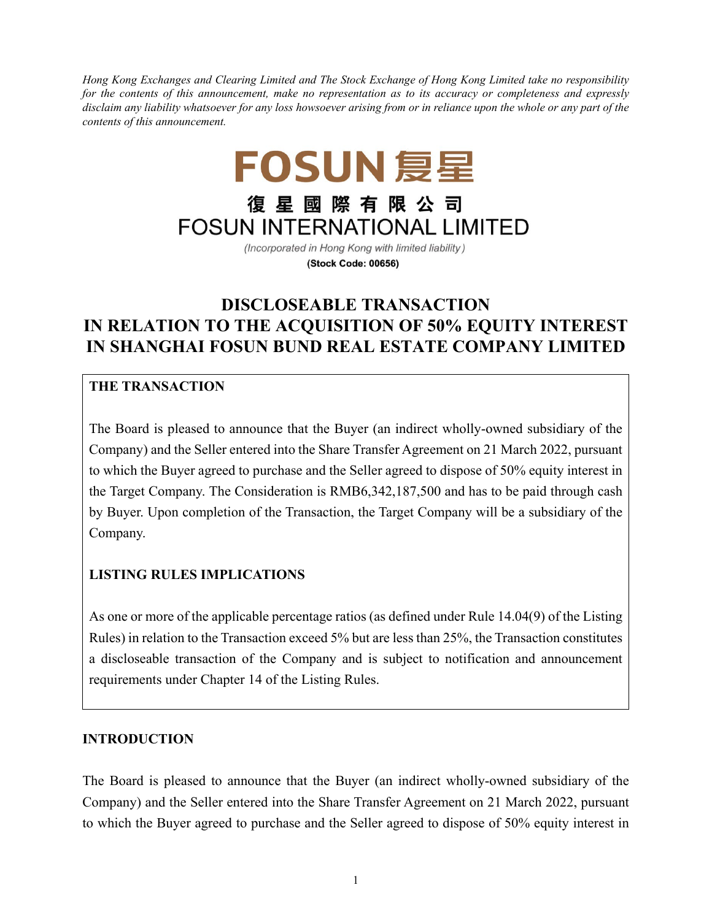*Hong Kong Exchanges and Clearing Limited and The Stock Exchange of Hong Kong Limited take no responsibility for the contents of this announcement, make no representation as to its accuracy or completeness and expressly disclaim any liability whatsoever for any loss howsoever arising from or in reliance upon the whole or any part of the contents of this announcement.*

# FOSUN 复星 復星國際有限公司 **FOSUN INTERNATIONAL LIMITED**

(Incorporated in Hong Kong with limited liability) (Stock Code: 00656)

# **DISCLOSEABLE TRANSACTION IN RELATION TO THE ACQUISITION OF 50% EQUITY INTEREST IN SHANGHAI FOSUN BUND REAL ESTATE COMPANY LIMITED**

# **THE TRANSACTION**

The Board is pleased to announce that the Buyer (an indirect wholly-owned subsidiary of the Company) and the Seller entered into the Share Transfer Agreement on 21 March 2022, pursuant to which the Buyer agreed to purchase and the Seller agreed to dispose of 50% equity interest in the Target Company. The Consideration is RMB6,342,187,500 and has to be paid through cash by Buyer. Upon completion of the Transaction, the Target Company will be a subsidiary of the Company.

# **LISTING RULES IMPLICATIONS**

As one or more of the applicable percentage ratios (as defined under Rule 14.04(9) of the Listing Rules) in relation to the Transaction exceed 5% but are less than 25%, the Transaction constitutes a discloseable transaction of the Company and is subject to notification and announcement requirements under Chapter 14 of the Listing Rules.

# **INTRODUCTION**

The Board is pleased to announce that the Buyer (an indirect wholly-owned subsidiary of the Company) and the Seller entered into the Share Transfer Agreement on 21 March 2022, pursuant to which the Buyer agreed to purchase and the Seller agreed to dispose of 50% equity interest in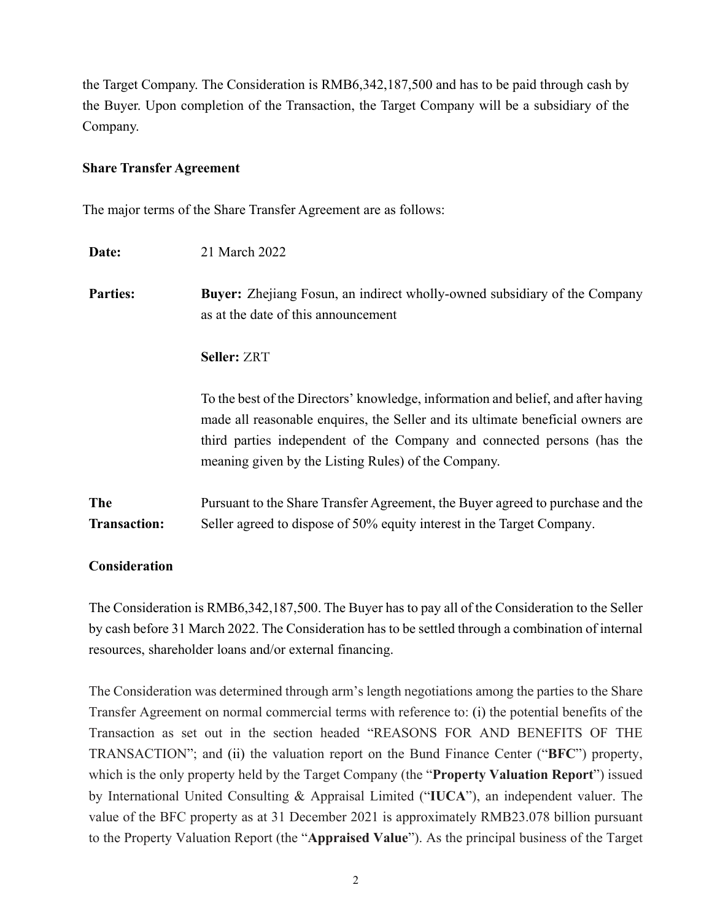the Target Company. The Consideration is RMB6,342,187,500 and has to be paid through cash by the Buyer. Upon completion of the Transaction, the Target Company will be a subsidiary of the Company.

#### **Share Transfer Agreement**

The major terms of the Share Transfer Agreement are as follows:

| Date:                             | 21 March 2022                                                                                                                                                                                                                                                                                          |
|-----------------------------------|--------------------------------------------------------------------------------------------------------------------------------------------------------------------------------------------------------------------------------------------------------------------------------------------------------|
| <b>Parties:</b>                   | <b>Buyer:</b> Zhejiang Fosun, an indirect wholly-owned subsidiary of the Company<br>as at the date of this announcement                                                                                                                                                                                |
|                                   | <b>Seller: ZRT</b>                                                                                                                                                                                                                                                                                     |
|                                   | To the best of the Directors' knowledge, information and belief, and after having<br>made all reasonable enquires, the Seller and its ultimate beneficial owners are<br>third parties independent of the Company and connected persons (has the<br>meaning given by the Listing Rules) of the Company. |
| <b>The</b><br><b>Transaction:</b> | Pursuant to the Share Transfer Agreement, the Buyer agreed to purchase and the<br>Seller agreed to dispose of 50% equity interest in the Target Company.                                                                                                                                               |

#### **Consideration**

The Consideration is RMB6,342,187,500. The Buyer has to pay all of the Consideration to the Seller by cash before 31 March 2022. The Consideration has to be settled through a combination of internal resources, shareholder loans and/or external financing.

The Consideration was determined through arm's length negotiations among the parties to the Share Transfer Agreement on normal commercial terms with reference to: (i) the potential benefits of the Transaction as set out in the section headed "REASONS FOR AND BENEFITS OF THE TRANSACTION"; and (ii) the valuation report on the Bund Finance Center ("**BFC**") property, which is the only property held by the Target Company (the "**Property Valuation Report**") issued by International United Consulting & Appraisal Limited ("**IUCA**"), an independent valuer. The value of the BFC property as at 31 December 2021 is approximately RMB23.078 billion pursuant to the Property Valuation Report (the "**Appraised Value**"). As the principal business of the Target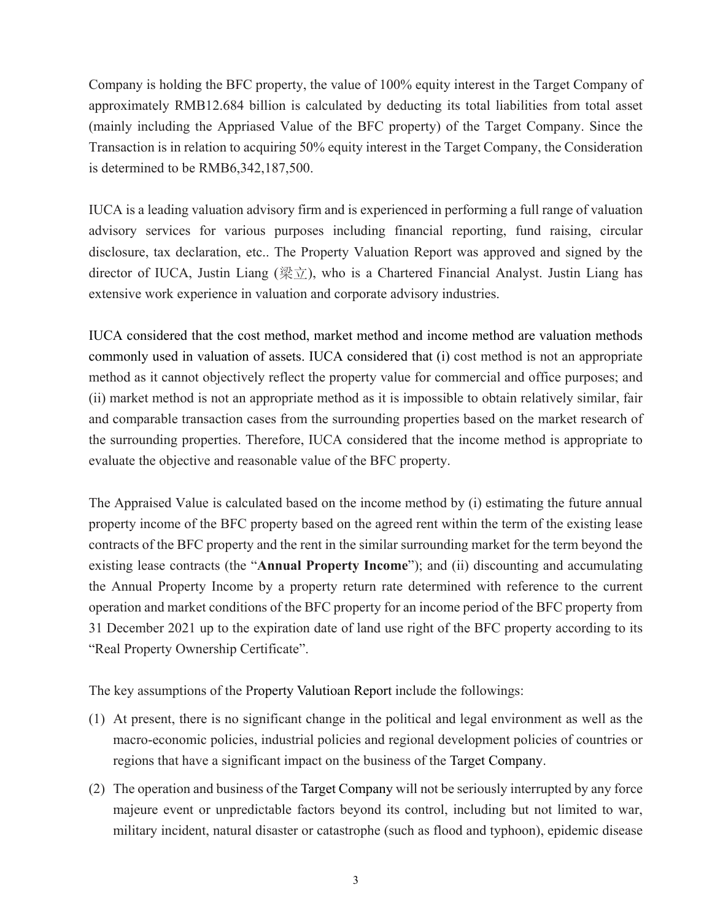Company is holding the BFC property, the value of 100% equity interest in the Target Company of approximately RMB12.684 billion is calculated by deducting its total liabilities from total asset (mainly including the Appriased Value of the BFC property) of the Target Company. Since the Transaction is in relation to acquiring 50% equity interest in the Target Company, the Consideration is determined to be RMB6,342,187,500.

IUCA is a leading valuation advisory firm and is experienced in performing a full range of valuation advisory services for various purposes including financial reporting, fund raising, circular disclosure, tax declaration, etc.. The Property Valuation Report was approved and signed by the director of IUCA, Justin Liang (梁立), who is a Chartered Financial Analyst. Justin Liang has extensive work experience in valuation and corporate advisory industries.

IUCA considered that the cost method, market method and income method are valuation methods commonly used in valuation of assets. IUCA considered that (i) cost method is not an appropriate method as it cannot objectively reflect the property value for commercial and office purposes; and (ii) market method is not an appropriate method as it is impossible to obtain relatively similar, fair and comparable transaction cases from the surrounding properties based on the market research of the surrounding properties. Therefore, IUCA considered that the income method is appropriate to evaluate the objective and reasonable value of the BFC property.

The Appraised Value is calculated based on the income method by (i) estimating the future annual property income of the BFC property based on the agreed rent within the term of the existing lease contracts of the BFC property and the rent in the similar surrounding market for the term beyond the existing lease contracts (the "**Annual Property Income**"); and (ii) discounting and accumulating the Annual Property Income by a property return rate determined with reference to the current operation and market conditions of the BFC property for an income period of the BFC property from 31 December 2021 up to the expiration date of land use right of the BFC property according to its "Real Property Ownership Certificate".

The key assumptions of the Property Valutioan Report include the followings:

- (1) At present, there is no significant change in the political and legal environment as well as the macro-economic policies, industrial policies and regional development policies of countries or regions that have a significant impact on the business of the Target Company.
- (2) The operation and business of the Target Company will not be seriously interrupted by any force majeure event or unpredictable factors beyond its control, including but not limited to war, military incident, natural disaster or catastrophe (such as flood and typhoon), epidemic disease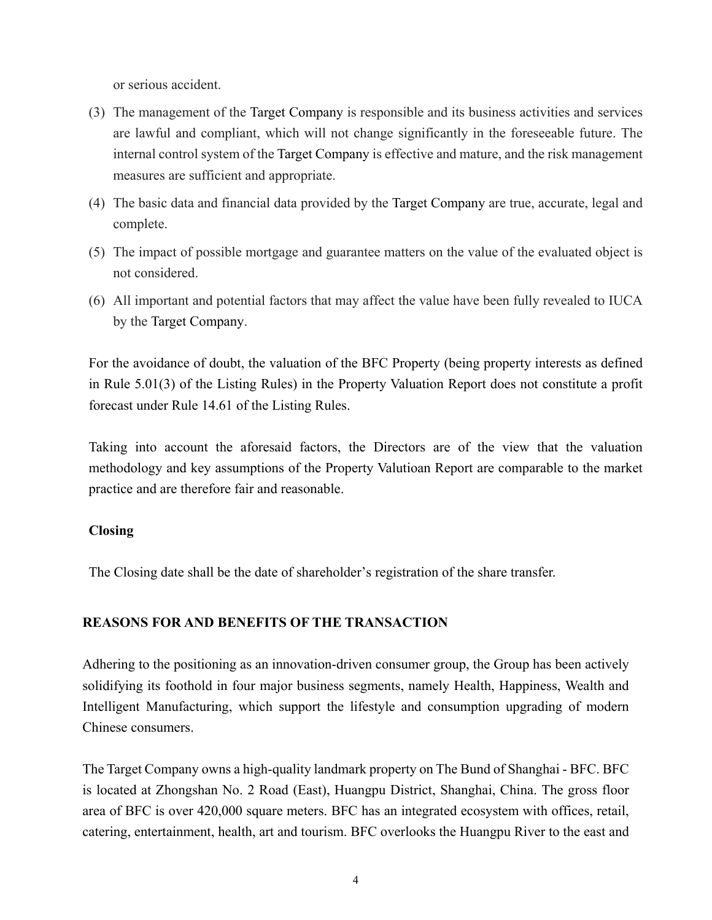or serious accident.

- (3) The management of the Target Company is responsible and its business activities and services are lawful and compliant, which will not change significantly in the foreseeable future. The internal control system of the Target Company is effective and mature, and the risk management measures are sufficient and appropriate.
- (4) The basic data and financial data provided by the Target Company are true, accurate, legal and complete.
- (5) The impact of possible mortgage and guarantee matters on the value of the evaluated object is not considered.
- (6) All important and potential factors that may affect the value have been fully revealed to IUCA by the Target Company.

For the avoidance of doubt, the valuation of the BFC Property (being property interests as defined in Rule 5.01(3) of the Listing Rules) in the Property Valuation Report does not constitute a profit forecast under Rule 14.61 of the Listing Rules.

Taking into account the aforesaid factors, the Directors are of the view that the valuation methodology and key assumptions of the Property Valutioan Report are comparable to the market practice and are therefore fair and reasonable.

#### **Closing**

The Closing date shall be the date of shareholder's registration of the share transfer.

#### **REASONS FOR AND BENEFITS OF THE TRANSACTION**

Adhering to the positioning as an innovation-driven consumer group, the Group has been actively solidifying its foothold in four major business segments, namely Health, Happiness, Wealth and Intelligent Manufacturing, which support the lifestyle and consumption upgrading of modern Chinese consumers.

The Target Company owns a high-quality landmark property on The Bund of Shanghai - BFC. BFC is located at Zhongshan No. 2 Road (East), Huangpu District, Shanghai, China. The gross floor area of BFC is over 420,000 square meters. BFC has an integrated ecosystem with offices, retail, catering, entertainment, health, art and tourism. BFC overlooks the Huangpu River to the east and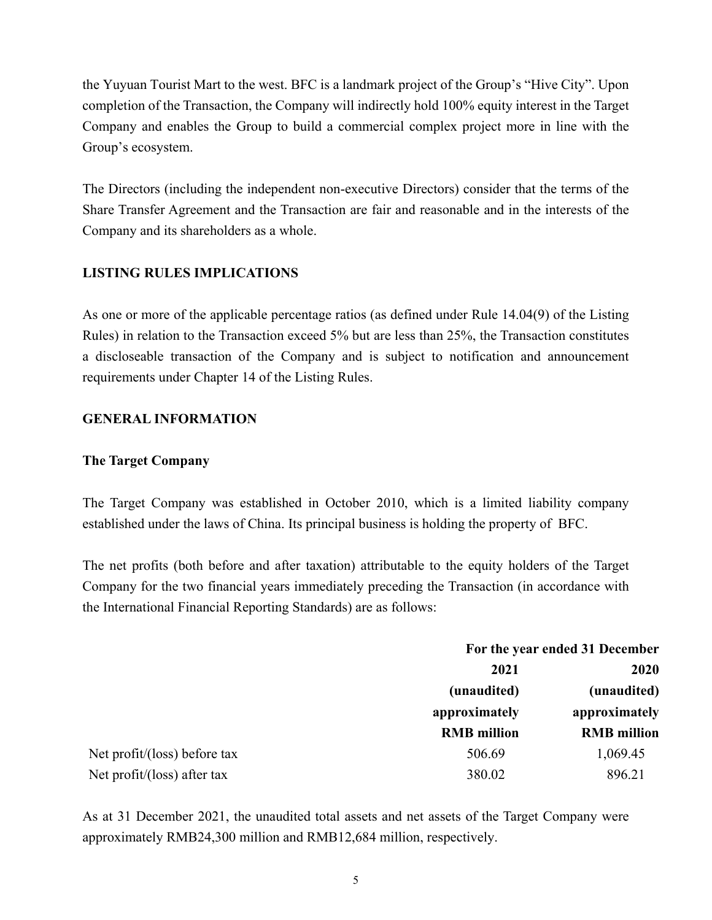the Yuyuan Tourist Mart to the west. BFC is a landmark project of the Group's "Hive City". Upon completion of the Transaction, the Company will indirectly hold 100% equity interest in the Target Company and enables the Group to build a commercial complex project more in line with the Group's ecosystem.

The Directors (including the independent non-executive Directors) consider that the terms of the Share Transfer Agreement and the Transaction are fair and reasonable and in the interests of the Company and its shareholders as a whole.

#### **LISTING RULES IMPLICATIONS**

As one or more of the applicable percentage ratios (as defined under Rule 14.04(9) of the Listing Rules) in relation to the Transaction exceed 5% but are less than 25%, the Transaction constitutes a discloseable transaction of the Company and is subject to notification and announcement requirements under Chapter 14 of the Listing Rules.

#### **GENERAL INFORMATION**

#### **The Target Company**

The Target Company was established in October 2010, which is a limited liability company established under the laws of China. Its principal business is holding the property of BFC.

The net profits (both before and after taxation) attributable to the equity holders of the Target Company for the two financial years immediately preceding the Transaction (in accordance with the International Financial Reporting Standards) are as follows:

|                              | For the year ended 31 December      |                                     |
|------------------------------|-------------------------------------|-------------------------------------|
|                              | 2021                                | 2020                                |
|                              | (unaudited)                         | (unaudited)                         |
|                              | approximately<br><b>RMB</b> million | approximately<br><b>RMB</b> million |
|                              |                                     |                                     |
| Net profit/(loss) before tax | 506.69                              | 1,069.45                            |
| Net profit/(loss) after tax  | 380.02                              | 896.21                              |

As at 31 December 2021, the unaudited total assets and net assets of the Target Company were approximately RMB24,300 million and RMB12,684 million, respectively.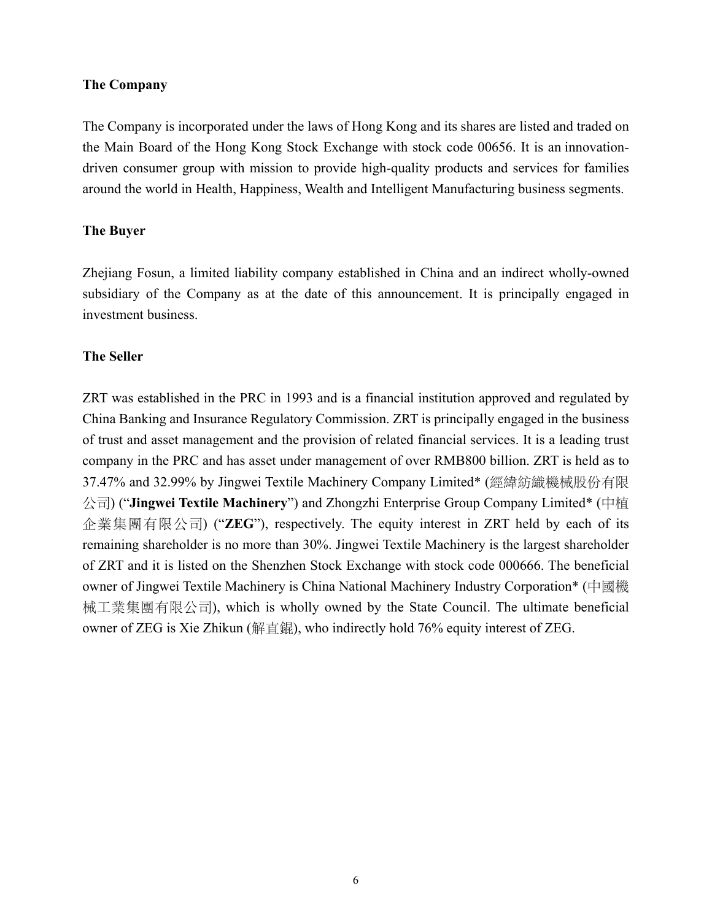#### **The Company**

The Company is incorporated under the laws of Hong Kong and its shares are listed and traded on the Main Board of the Hong Kong Stock Exchange with stock code 00656. It is an innovationdriven consumer group with mission to provide high-quality products and services for families around the world in Health, Happiness, Wealth and Intelligent Manufacturing business segments.

#### **The Buyer**

Zhejiang Fosun, a limited liability company established in China and an indirect wholly-owned subsidiary of the Company as at the date of this announcement. It is principally engaged in investment business.

#### **The Seller**

ZRT was established in the PRC in 1993 and is a financial institution approved and regulated by China Banking and Insurance Regulatory Commission. ZRT is principally engaged in the business of trust and asset management and the provision of related financial services. It is a leading trust company in the PRC and has asset under management of over RMB800 billion. ZRT is held as to 37.47% and 32.99% by Jingwei Textile Machinery Company Limited\* (經緯紡織機械股份有限 公司) ("**Jingwei Textile Machinery**") and Zhongzhi Enterprise Group Company Limited\* (中植 企業集團有限公司) ("**ZEG**"), respectively. The equity interest in ZRT held by each of its remaining shareholder is no more than 30%. Jingwei Textile Machinery is the largest shareholder of ZRT and it is listed on the Shenzhen Stock Exchange with stock code 000666. The beneficial owner of Jingwei Textile Machinery is China National Machinery Industry Corporation\* (中國機 械工業集團有限公司), which is wholly owned by the State Council. The ultimate beneficial owner of ZEG is Xie Zhikun (解直錕), who indirectly hold 76% equity interest of ZEG.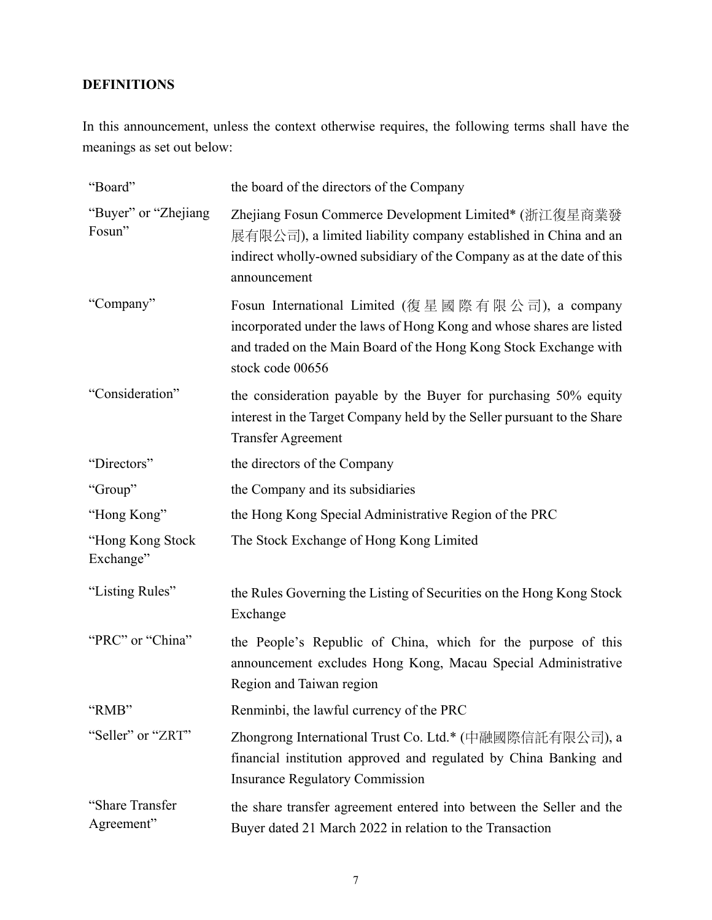# **DEFINITIONS**

In this announcement, unless the context otherwise requires, the following terms shall have the meanings as set out below:

| "Board"                        | the board of the directors of the Company                                                                                                                                                                          |
|--------------------------------|--------------------------------------------------------------------------------------------------------------------------------------------------------------------------------------------------------------------|
| "Buyer" or "Zhejiang<br>Fosun" | Zhejiang Fosun Commerce Development Limited* (浙江復星商業發<br>展有限公司), a limited liability company established in China and an<br>indirect wholly-owned subsidiary of the Company as at the date of this<br>announcement |
| "Company"                      | Fosun International Limited (復星國際有限公司), a company<br>incorporated under the laws of Hong Kong and whose shares are listed<br>and traded on the Main Board of the Hong Kong Stock Exchange with<br>stock code 00656 |
| "Consideration"                | the consideration payable by the Buyer for purchasing 50% equity<br>interest in the Target Company held by the Seller pursuant to the Share<br><b>Transfer Agreement</b>                                           |
| "Directors"                    | the directors of the Company                                                                                                                                                                                       |
| "Group"                        | the Company and its subsidiaries                                                                                                                                                                                   |
| "Hong Kong"                    | the Hong Kong Special Administrative Region of the PRC                                                                                                                                                             |
| "Hong Kong Stock<br>Exchange"  | The Stock Exchange of Hong Kong Limited                                                                                                                                                                            |
| "Listing Rules"                | the Rules Governing the Listing of Securities on the Hong Kong Stock<br>Exchange                                                                                                                                   |
| "PRC" or "China"               | the People's Republic of China, which for the purpose of this<br>announcement excludes Hong Kong, Macau Special Administrative<br>Region and Taiwan region                                                         |
| "RMB"                          | Renminbi, the lawful currency of the PRC                                                                                                                                                                           |
| "Seller" or "ZRT"              | Zhongrong International Trust Co. Ltd.* (中融國際信託有限公司), a<br>financial institution approved and regulated by China Banking and<br><b>Insurance Regulatory Commission</b>                                             |
| "Share Transfer<br>Agreement"  | the share transfer agreement entered into between the Seller and the<br>Buyer dated 21 March 2022 in relation to the Transaction                                                                                   |